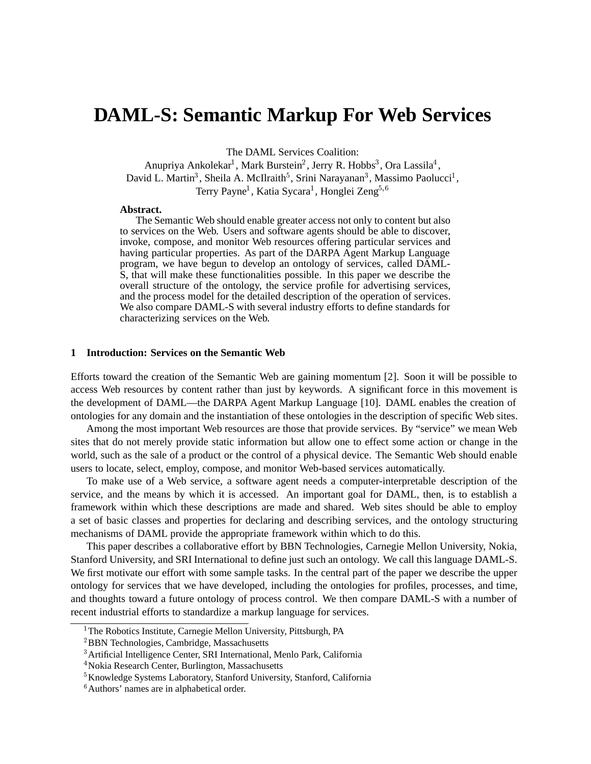# **DAML-S: Semantic Markup For Web Services**

The DAML Services Coalition:

Anupriya Ankolekar<sup>l</sup> , Mark Burstein<sup>2</sup> , Jerry R. Hobbs<sup>3</sup> , Ora Lassila<sup>4</sup> , David L. Martin<sup>3</sup>, Sheila A. McIlraith<sup>5</sup>, Srini Narayanan<sup>3</sup>, Massimo Paolucci<sup>1</sup>, Terry Payne<sup>1</sup>, Katia Sycara<sup>1</sup>, Honglei Zeng<sup>5,6</sup>

#### **Abstract.**

The Semantic Web should enable greater access not only to content but also to services on the Web. Users and software agents should be able to discover, invoke, compose, and monitor Web resources offering particular services and having particular properties. As part of the DARPA Agent Markup Language program, we have begun to develop an ontology of services, called DAML-S, that will make these functionalities possible. In this paper we describe the overall structure of the ontology, the service profile for advertising services, and the process model for the detailed description of the operation of services. We also compare DAML-S with several industry efforts to define standards for characterizing services on the Web.

#### **1 Introduction: Services on the Semantic Web**

Efforts toward the creation of the Semantic Web are gaining momentum [2]. Soon it will be possible to access Web resources by content rather than just by keywords. A significant force in this movement is the development of DAML—the DARPA Agent Markup Language [10]. DAML enables the creation of ontologies for any domain and the instantiation of these ontologies in the description of specific Web sites.

Among the most important Web resources are those that provide services. By "service" we mean Web sites that do not merely provide static information but allow one to effect some action or change in the world, such as the sale of a product or the control of a physical device. The Semantic Web should enable users to locate, select, employ, compose, and monitor Web-based services automatically.

To make use of a Web service, a software agent needs a computer-interpretable description of the service, and the means by which it is accessed. An important goal for DAML, then, is to establish a framework within which these descriptions are made and shared. Web sites should be able to employ a set of basic classes and properties for declaring and describing services, and the ontology structuring mechanisms of DAML provide the appropriate framework within which to do this.

This paper describes a collaborative effort by BBN Technologies, Carnegie Mellon University, Nokia, Stanford University, and SRI International to define just such an ontology. We call this language DAML-S. We first motivate our effort with some sample tasks. In the central part of the paper we describe the upper ontology for services that we have developed, including the ontologies for profiles, processes, and time, and thoughts toward a future ontology of process control. We then compare DAML-S with a number of recent industrial efforts to standardize a markup language for services.

<sup>&</sup>lt;sup>1</sup>The Robotics Institute, Carnegie Mellon University, Pittsburgh, PA

<sup>&</sup>lt;sup>2</sup>BBN Technologies, Cambridge, Massachusetts

<sup>&</sup>lt;sup>3</sup> Artificial Intelligence Center, SRI International, Menlo Park, California

<sup>&</sup>lt;sup>4</sup>Nokia Research Center, Burlington, Massachusetts

<sup>&</sup>lt;sup>5</sup> Knowledge Systems Laboratory, Stanford University, Stanford, California

<sup>&</sup>lt;sup>6</sup> Authors' names are in alphabetical order.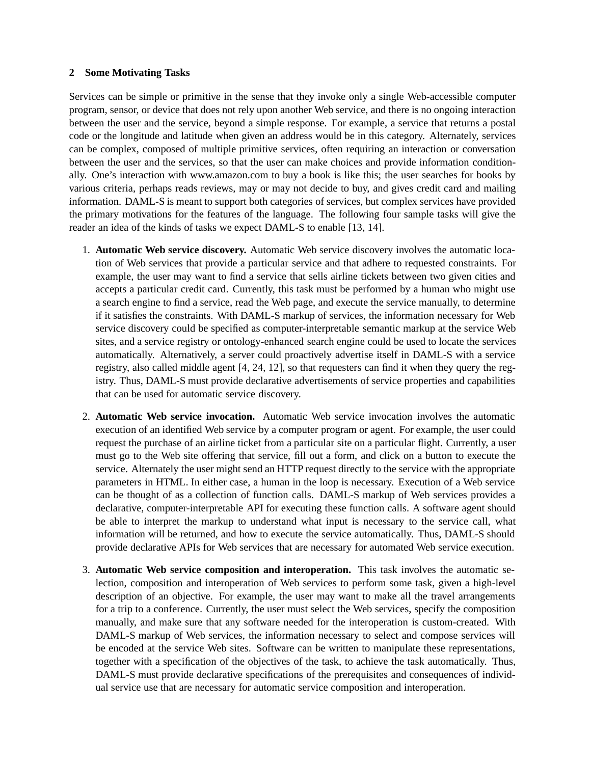## **2 Some Motivating Tasks**

Services can be simple or primitive in the sense that they invoke only a single Web-accessible computer program, sensor, or device that does not rely upon another Web service, and there is no ongoing interaction between the user and the service, beyond a simple response. For example, a service that returns a postal code or the longitude and latitude when given an address would be in this category. Alternately, services can be complex, composed of multiple primitive services, often requiring an interaction or conversation between the user and the services, so that the user can make choices and provide information conditionally. One's interaction with www.amazon.com to buy a book is like this; the user searches for books by various criteria, perhaps reads reviews, may or may not decide to buy, and gives credit card and mailing information. DAML-S is meant to support both categories of services, but complex services have provided the primary motivations for the features of the language. The following four sample tasks will give the reader an idea of the kinds of tasks we expect DAML-S to enable [13, 14].

- 1. **Automatic Web service discovery.** Automatic Web service discovery involves the automatic location of Web services that provide a particular service and that adhere to requested constraints. For example, the user may want to find a service that sells airline tickets between two given cities and accepts a particular credit card. Currently, this task must be performed by a human who might use a search engine to find a service, read the Web page, and execute the service manually, to determine if it satisfies the constraints. With DAML-S markup of services, the information necessary for Web service discovery could be specified as computer-interpretable semantic markup at the service Web sites, and a service registry or ontology-enhanced search engine could be used to locate the services automatically. Alternatively, a server could proactively advertise itself in DAML-S with a service registry, also called middle agent [4, 24, 12], so that requesters can find it when they query the registry. Thus, DAML-S must provide declarative advertisements of service properties and capabilities that can be used for automatic service discovery.
- 2. **Automatic Web service invocation.** Automatic Web service invocation involves the automatic execution of an identified Web service by a computer program or agent. For example, the user could request the purchase of an airline ticket from a particular site on a particular flight. Currently, a user must go to the Web site offering that service, fill out a form, and click on a button to execute the service. Alternately the user might send an HTTP request directly to the service with the appropriate parameters in HTML. In either case, a human in the loop is necessary. Execution of a Web service can be thought of as a collection of function calls. DAML-S markup of Web services provides a declarative, computer-interpretable API for executing these function calls. A software agent should be able to interpret the markup to understand what input is necessary to the service call, what information will be returned, and how to execute the service automatically. Thus, DAML-S should provide declarative APIs for Web services that are necessary for automated Web service execution.
- 3. **Automatic Web service composition and interoperation.** This task involves the automatic selection, composition and interoperation of Web services to perform some task, given a high-level description of an objective. For example, the user may want to make all the travel arrangements for a trip to a conference. Currently, the user must select the Web services, specify the composition manually, and make sure that any software needed for the interoperation is custom-created. With DAML-S markup of Web services, the information necessary to select and compose services will be encoded at the service Web sites. Software can be written to manipulate these representations, together with a specification of the objectives of the task, to achieve the task automatically. Thus, DAML-S must provide declarative specifications of the prerequisites and consequences of individual service use that are necessary for automatic service composition and interoperation.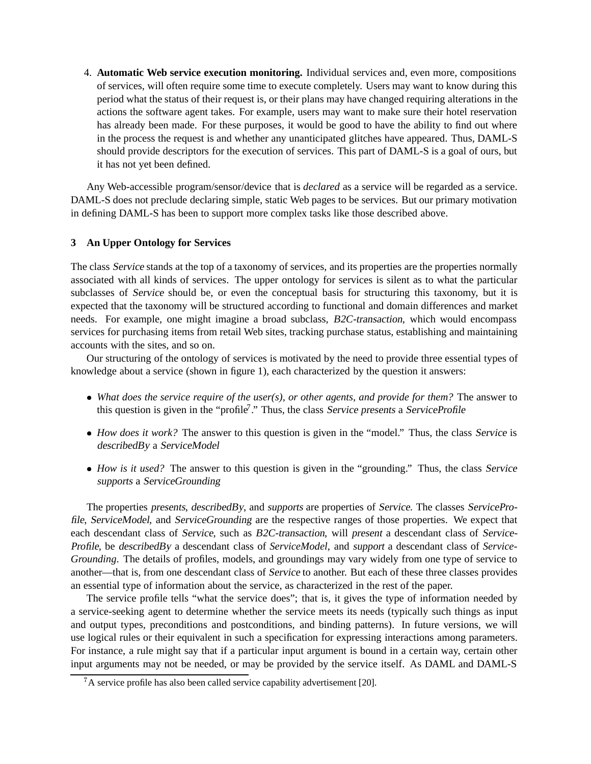4. **Automatic Web service execution monitoring.** Individual services and, even more, compositions of services, will often require some time to execute completely. Users may want to know during this period what the status of their request is, or their plans may have changed requiring alterations in the actions the software agent takes. For example, users may want to make sure their hotel reservation has already been made. For these purposes, it would be good to have the ability to find out where in the process the request is and whether any unanticipated glitches have appeared. Thus, DAML-S should provide descriptors for the execution of services. This part of DAML-S is a goal of ours, but it has not yet been defined.

Any Web-accessible program/sensor/device that is *declared* as a service will be regarded as a service. DAML-S does not preclude declaring simple, static Web pages to be services. But our primary motivation in defining DAML-S has been to support more complex tasks like those described above.

## **3 An Upper Ontology for Services**

The class Service stands at the top of a taxonomy of services, and its properties are the properties normally associated with all kinds of services. The upper ontology for services is silent as to what the particular subclasses of Service should be, or even the conceptual basis for structuring this taxonomy, but it is expected that the taxonomy will be structured according to functional and domain differences and market needs. For example, one might imagine a broad subclass, B2C-transaction, which would encompass services for purchasing items from retail Web sites, tracking purchase status, establishing and maintaining accounts with the sites, and so on.

Our structuring of the ontology of services is motivated by the need to provide three essential types of knowledge about a service (shown in figure 1), each characterized by the question it answers:

- *What does the service require of the user(s), or other agents, and provide for them?* The answer to this question is given in the "profile"." Thus, the class Service presents a ServiceProfile
- *How does it work?* The answer to this question is given in the "model." Thus, the class Service is describedBy a ServiceModel
- *How is it used?* The answer to this question is given in the "grounding." Thus, the class Service supports a ServiceGrounding

The properties presents, describedBy, and supports are properties of Service. The classes ServiceProfile, ServiceModel, and ServiceGrounding are the respective ranges of those properties. We expect that each descendant class of Service, such as B2C-transaction, will present a descendant class of Service-Profile, be describedBy a descendant class of *ServiceModel*, and support a descendant class of *Service-Grounding*. The details of profiles, models, and groundings may vary widely from one type of service to another—that is, from one descendant class of Service to another. But each of these three classes provides an essential type of information about the service, as characterized in the rest of the paper.

The service profile tells "what the service does"; that is, it gives the type of information needed by a service-seeking agent to determine whether the service meets its needs (typically such things as input and output types, preconditions and postconditions, and binding patterns). In future versions, we will use logical rules or their equivalent in such a specification for expressing interactions among parameters. For instance, a rule might say that if a particular input argument is bound in a certain way, certain other input arguments may not be needed, or may be provided by the service itself. As DAML and DAML-S

 ${}^{7}$ A service profile has also been called service capability advertisement [20].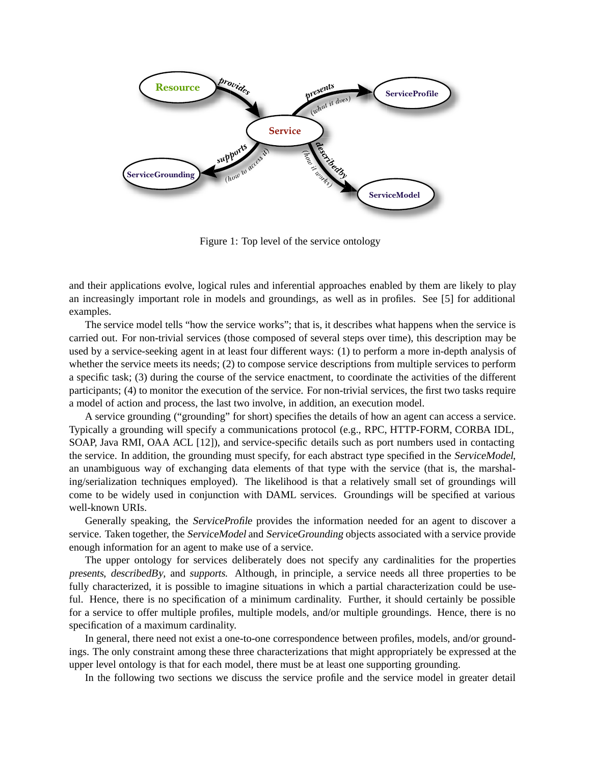

Figure 1: Top level of the service ontology

and their applications evolve, logical rules and inferential approaches enabled by them are likely to play an increasingly important role in models and groundings, as well as in profiles. See [5] for additional examples.

The service model tells "how the service works"; that is, it describes what happens when the service is carried out. For non-trivial services (those composed of several steps over time), this description may be used by a service-seeking agent in at least four different ways: (1) to perform a more in-depth analysis of whether the service meets its needs; (2) to compose service descriptions from multiple services to perform a specific task; (3) during the course of the service enactment, to coordinate the activities of the different participants; (4) to monitor the execution of the service. For non-trivial services, the first two tasks require a model of action and process, the last two involve, in addition, an execution model.

A service grounding ("grounding" for short) specifies the details of how an agent can access a service. Typically a grounding will specify a communications protocol (e.g., RPC, HTTP-FORM, CORBA IDL, SOAP, Java RMI, OAA ACL [12]), and service-specific details such as port numbers used in contacting the service. In addition, the grounding must specify, for each abstract type specified in the ServiceModel, an unambiguous way of exchanging data elements of that type with the service (that is, the marshaling/serialization techniques employed). The likelihood is that a relatively small set of groundings will come to be widely used in conjunction with DAML services. Groundings will be specified at various well-known URIs.

Generally speaking, the ServiceProfile provides the information needed for an agent to discover a service. Taken together, the ServiceModel and ServiceGrounding objects associated with a service provide enough information for an agent to make use of a service.

The upper ontology for services deliberately does not specify any cardinalities for the properties presents, describedBy, and supports. Although, in principle, a service needs all three properties to be fully characterized, it is possible to imagine situations in which a partial characterization could be useful. Hence, there is no specification of a minimum cardinality. Further, it should certainly be possible for a service to offer multiple profiles, multiple models, and/or multiple groundings. Hence, there is no specification of a maximum cardinality.

In general, there need not exist a one-to-one correspondence between profiles, models, and/or groundings. The only constraint among these three characterizations that might appropriately be expressed at the upper level ontology is that for each model, there must be at least one supporting grounding.

In the following two sections we discuss the service profile and the service model in greater detail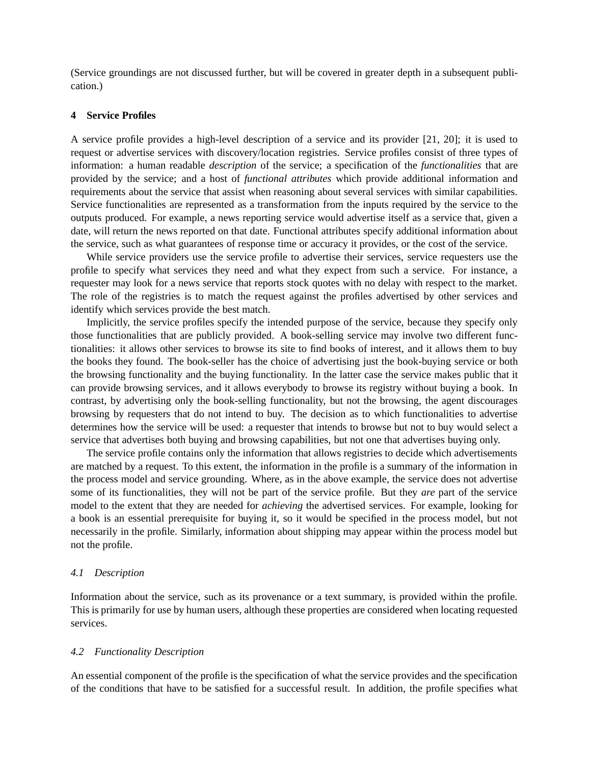(Service groundings are not discussed further, but will be covered in greater depth in a subsequent publication.)

#### **4 Service Profiles**

A service profile provides a high-level description of a service and its provider [21, 20]; it is used to request or advertise services with discovery/location registries. Service profiles consist of three types of information: a human readable *description* of the service; a specification of the *functionalities* that are provided by the service; and a host of *functional attributes* which provide additional information and requirements about the service that assist when reasoning about several services with similar capabilities. Service functionalities are represented as a transformation from the inputs required by the service to the outputs produced. For example, a news reporting service would advertise itself as a service that, given a date, will return the news reported on that date. Functional attributes specify additional information about the service, such as what guarantees of response time or accuracy it provides, or the cost of the service.

While service providers use the service profile to advertise their services, service requesters use the profile to specify what services they need and what they expect from such a service. For instance, a requester may look for a news service that reports stock quotes with no delay with respect to the market. The role of the registries is to match the request against the profiles advertised by other services and identify which services provide the best match.

Implicitly, the service profiles specify the intended purpose of the service, because they specify only those functionalities that are publicly provided. A book-selling service may involve two different functionalities: it allows other services to browse its site to find books of interest, and it allows them to buy the books they found. The book-seller has the choice of advertising just the book-buying service or both the browsing functionality and the buying functionality. In the latter case the service makes public that it can provide browsing services, and it allows everybody to browse its registry without buying a book. In contrast, by advertising only the book-selling functionality, but not the browsing, the agent discourages browsing by requesters that do not intend to buy. The decision as to which functionalities to advertise determines how the service will be used: a requester that intends to browse but not to buy would select a service that advertises both buying and browsing capabilities, but not one that advertises buying only.

The service profile contains only the information that allows registries to decide which advertisements are matched by a request. To this extent, the information in the profile is a summary of the information in the process model and service grounding. Where, as in the above example, the service does not advertise some of its functionalities, they will not be part of the service profile. But they *are* part of the service model to the extent that they are needed for *achieving* the advertised services. For example, looking for a book is an essential prerequisite for buying it, so it would be specified in the process model, but not necessarily in the profile. Similarly, information about shipping may appear within the process model but not the profile.

## *4.1 Description*

Information about the service, such as its provenance or a text summary, is provided within the profile. This is primarily for use by human users, although these properties are considered when locating requested services.

#### *4.2 Functionality Description*

An essential component of the profile is the specification of what the service provides and the specification of the conditions that have to be satisfied for a successful result. In addition, the profile specifies what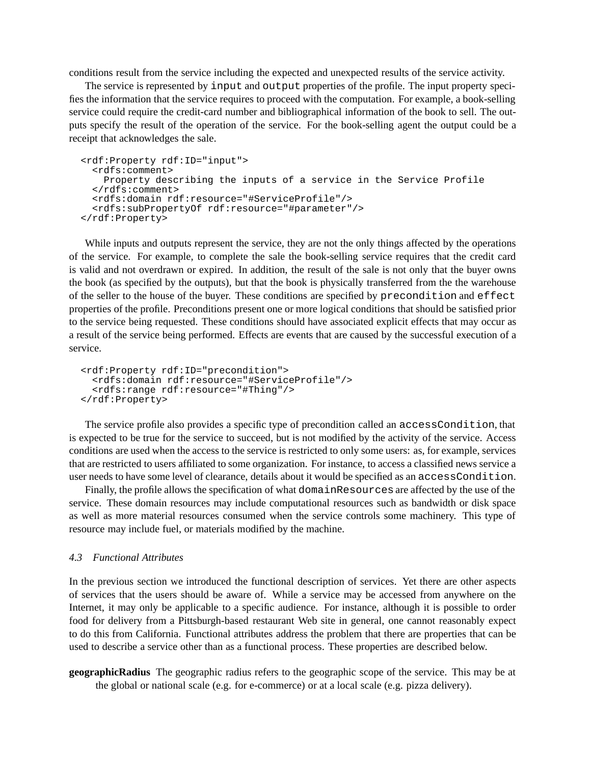conditions result from the service including the expected and unexpected results of the service activity.

The service is represented by input and output properties of the profile. The input property specifies the information that the service requires to proceed with the computation. For example, a book-selling service could require the credit-card number and bibliographical information of the book to sell. The outputs specify the result of the operation of the service. For the book-selling agent the output could be a receipt that acknowledges the sale.

```
<rdf:Property rdf:ID="input">
  <rdfs:comment>
    Property describing the inputs of a service in the Service Profile
  </rdfs:comment>
  <rdfs:domain rdf:resource="#ServiceProfile"/>
  <rdfs:subPropertyOf rdf:resource="#parameter"/>
</rdf:Property>
```
While inputs and outputs represent the service, they are not the only things affected by the operations of the service. For example, to complete the sale the book-selling service requires that the credit card is valid and not overdrawn or expired. In addition, the result of the sale is not only that the buyer owns the book (as specified by the outputs), but that the book is physically transferred from the the warehouse of the seller to the house of the buyer. These conditions are specified by precondition and effect properties of the profile. Preconditions present one or more logical conditions that should be satisfied prior to the service being requested. These conditions should have associated explicit effects that may occur as a result of the service being performed. Effects are events that are caused by the successful execution of a service.

```
<rdf:Property rdf:ID="precondition">
  <rdfs:domain rdf:resource="#ServiceProfile"/>
  <rdfs:range rdf:resource="#Thing"/>
</rdf:Property>
```
The service profile also provides a specific type of precondition called an accessCondition, that is expected to be true for the service to succeed, but is not modified by the activity of the service. Access conditions are used when the access to the service is restricted to only some users: as, for example, services that are restricted to users affiliated to some organization. For instance, to access a classified news service a user needs to have some level of clearance, details about it would be specified as an accessCondition.

Finally, the profile allows the specification of what domainResourcesare affected by the use of the service. These domain resources may include computational resources such as bandwidth or disk space as well as more material resources consumed when the service controls some machinery. This type of resource may include fuel, or materials modified by the machine.

#### *4.3 Functional Attributes*

In the previous section we introduced the functional description of services. Yet there are other aspects of services that the users should be aware of. While a service may be accessed from anywhere on the Internet, it may only be applicable to a specific audience. For instance, although it is possible to order food for delivery from a Pittsburgh-based restaurant Web site in general, one cannot reasonably expect to do this from California. Functional attributes address the problem that there are properties that can be used to describe a service other than as a functional process. These properties are described below.

**geographicRadius** The geographic radius refers to the geographic scope of the service. This may be at the global or national scale (e.g. for e-commerce) or at a local scale (e.g. pizza delivery).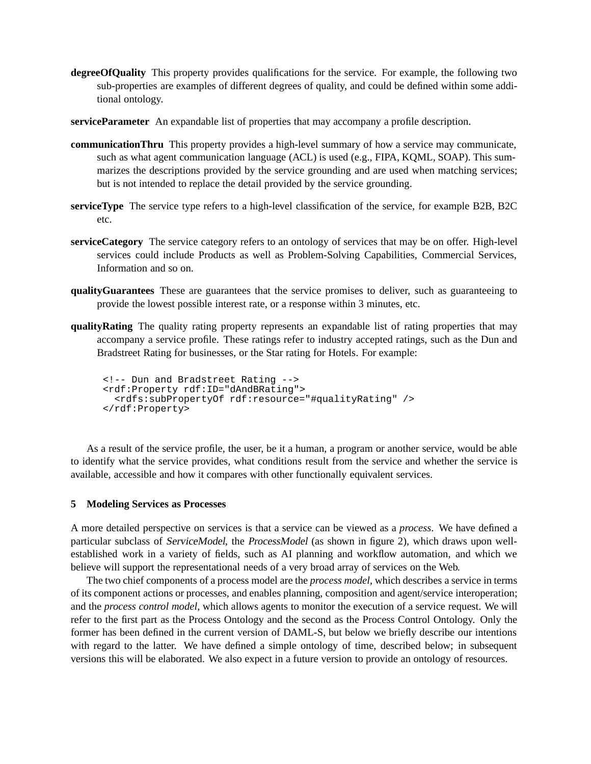- **degreeOfQuality** This property provides qualifications for the service. For example, the following two sub-properties are examples of different degrees of quality, and could be defined within some additional ontology.
- **serviceParameter** An expandable list of properties that may accompany a profile description.
- **communicationThru** This property provides a high-level summary of how a service may communicate, such as what agent communication language (ACL) is used (e.g., FIPA, KOML, SOAP). This summarizes the descriptions provided by the service grounding and are used when matching services; but is not intended to replace the detail provided by the service grounding.
- **serviceType** The service type refers to a high-level classification of the service, for example B2B, B2C etc.
- **serviceCategory** The service category refers to an ontology of services that may be on offer. High-level services could include Products as well as Problem-Solving Capabilities, Commercial Services, Information and so on.
- **qualityGuarantees** These are guarantees that the service promises to deliver, such as guaranteeing to provide the lowest possible interest rate, or a response within 3 minutes, etc.
- **qualityRating** The quality rating property represents an expandable list of rating properties that may accompany a service profile. These ratings refer to industry accepted ratings, such as the Dun and Bradstreet Rating for businesses, or the Star rating for Hotels. For example:

```
<!-- Dun and Bradstreet Rating -->
<rdf:Property rdf:ID="dAndBRating">
  <rdfs:subPropertyOf rdf:resource="#qualityRating" />
</rdf:Property>
```
As a result of the service profile, the user, be it a human, a program or another service, would be able to identify what the service provides, what conditions result from the service and whether the service is available, accessible and how it compares with other functionally equivalent services.

## **5 Modeling Services as Processes**

A more detailed perspective on services is that a service can be viewed as a *process*. We have defined a particular subclass of ServiceModel, the ProcessModel (as shown in figure 2), which draws upon wellestablished work in a variety of fields, such as AI planning and workflow automation, and which we believe will support the representational needs of a very broad array of services on the Web.

The two chief components of a process model are the *process model*, which describes a service in terms of its component actions or processes, and enables planning, composition and agent/service interoperation; and the *process control model*, which allows agents to monitor the execution of a service request. We will refer to the first part as the Process Ontology and the second as the Process Control Ontology. Only the former has been defined in the current version of DAML-S, but below we briefly describe our intentions with regard to the latter. We have defined a simple ontology of time, described below; in subsequent versions this will be elaborated. We also expect in a future version to provide an ontology of resources.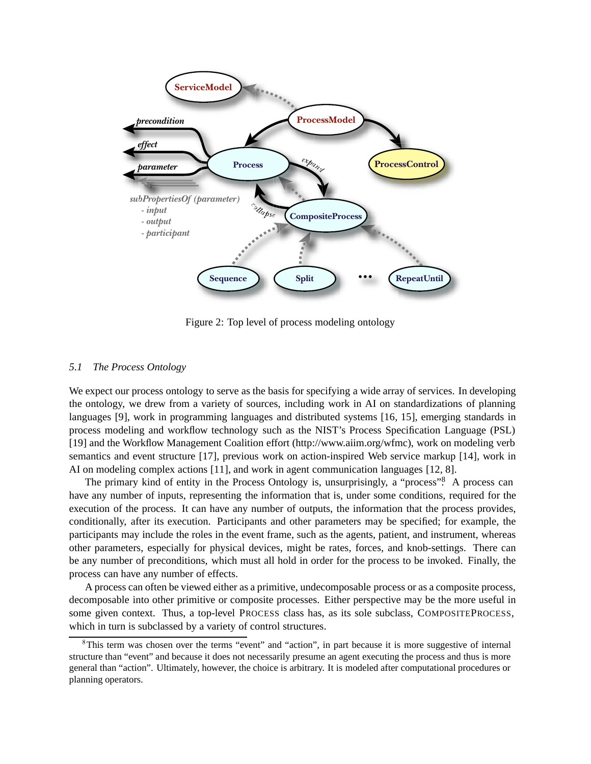

Figure 2: Top level of process modeling ontology

## *5.1 The Process Ontology*

We expect our process ontology to serve as the basis for specifying a wide array of services. In developing the ontology, we drew from a variety of sources, including work in AI on standardizations of planning languages [9], work in programming languages and distributed systems [16, 15], emerging standards in process modeling and workflow technology such as the NIST's Process Specification Language (PSL) [19] and the Workflow Management Coalition effort (http://www.aiim.org/wfmc), work on modeling verb semantics and event structure [17], previous work on action-inspired Web service markup [14], work in AI on modeling complex actions [11], and work in agent communication languages [12, 8].

The primary kind of entity in the Process Ontology is, unsurprisingly, a "process". A process can have any number of inputs, representing the information that is, under some conditions, required for the execution of the process. It can have any number of outputs, the information that the process provides, conditionally, after its execution. Participants and other parameters may be specified; for example, the participants may include the roles in the event frame, such as the agents, patient, and instrument, whereas other parameters, especially for physical devices, might be rates, forces, and knob-settings. There can be any number of preconditions, which must all hold in order for the process to be invoked. Finally, the process can have any number of effects.

A process can often be viewed either as a primitive, undecomposable process or as a composite process, decomposable into other primitive or composite processes. Either perspective may be the more useful in some given context. Thus, a top-level PROCESS class has, as its sole subclass, COMPOSITEPROCESS, which in turn is subclassed by a variety of control structures.

 ${}^8$ This term was chosen over the terms "event" and "action", in part because it is more suggestive of internal structure than "event" and because it does not necessarily presume an agent executing the process and thus is more general than "action". Ultimately, however, the choice is arbitrary. It is modeled after computational procedures or planning operators.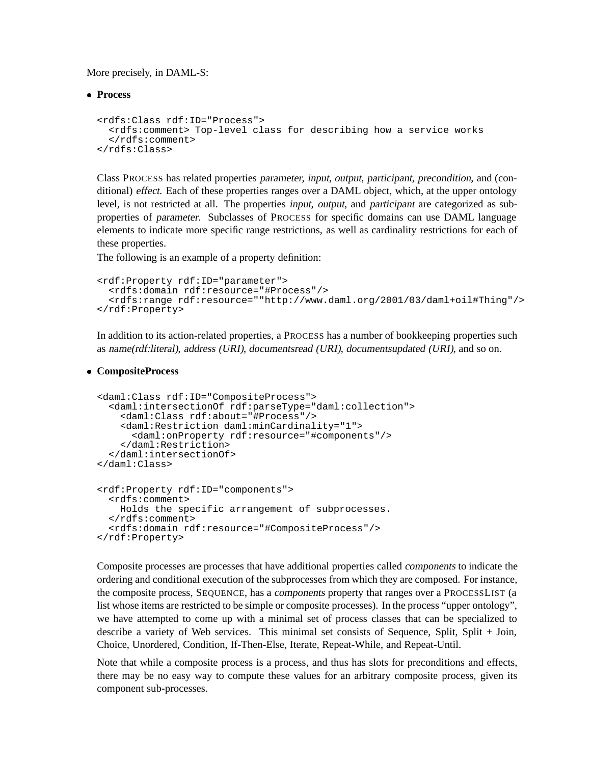More precisely, in DAML-S:

#### **Process**

```
<rdfs:Class rdf:ID="Process">
 <rdfs:comment> Top-level class for describing how a service works
  </rdfs:comment>
</rdfs:Class>
```
Class PROCESS has related properties parameter, input, output, participant, precondition, and (conditional) effect. Each of these properties ranges over a DAML object, which, at the upper ontology level, is not restricted at all. The properties input, output, and participant are categorized as subproperties of parameter. Subclasses of PROCESS for specific domains can use DAML language elements to indicate more specific range restrictions, as well as cardinality restrictions for each of these properties.

The following is an example of a property definition:

```
<rdf:Property rdf:ID="parameter">
  <rdfs:domain rdf:resource="#Process"/>
  <rdfs:range rdf:resource=""http://www.daml.org/2001/03/daml+oil#Thing"/>
</rdf:Property>
```
In addition to its action-related properties, a PROCESS has a number of bookkeeping properties such as name(rdf:literal), address (URI), documentsread (URI), documentsupdated (URI), and so on.

**CompositeProcess**

```
<daml:Class rdf:ID="CompositeProcess">
  <daml:intersectionOf rdf:parseType="daml:collection">
    <daml:Class rdf:about="#Process"/>
    <daml:Restriction daml:minCardinality="1">
      <daml:onProperty rdf:resource="#components"/>
    </daml:Restriction>
  </daml:intersectionOf>
</daml:Class>
<rdf:Property rdf:ID="components">
  <rdfs:comment>
   Holds the specific arrangement of subprocesses.
  </rdfs:comment>
  <rdfs:domain rdf:resource="#CompositeProcess"/>
</rdf:Property>
```
Composite processes are processes that have additional properties called components to indicate the ordering and conditional execution of the subprocesses from which they are composed. For instance, the composite process, SEQUENCE, has a components property that ranges over a PROCESSLIST (a list whose items are restricted to be simple or composite processes). In the process "upper ontology", we have attempted to come up with a minimal set of process classes that can be specialized to describe a variety of Web services. This minimal set consists of Sequence, Split, Split + Join, Choice, Unordered, Condition, If-Then-Else, Iterate, Repeat-While, and Repeat-Until.

Note that while a composite process is a process, and thus has slots for preconditions and effects, there may be no easy way to compute these values for an arbitrary composite process, given its component sub-processes.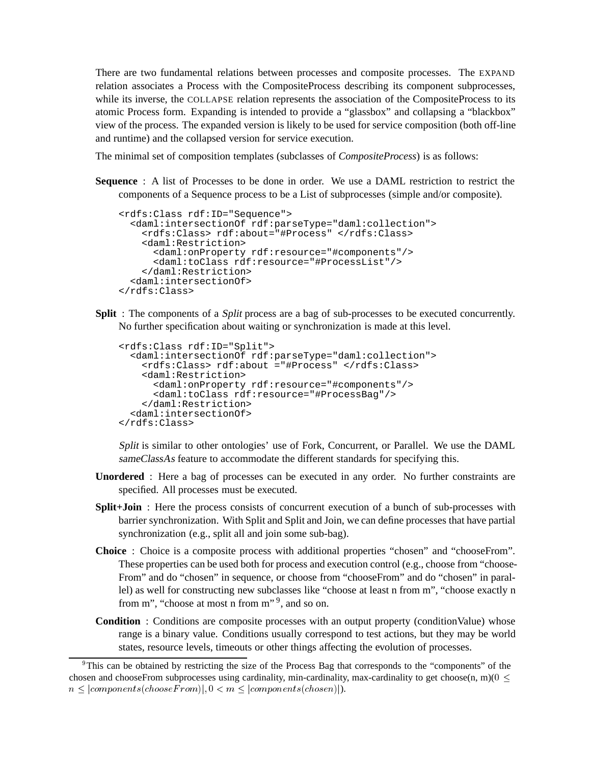There are two fundamental relations between processes and composite processes. The EXPAND relation associates a Process with the CompositeProcess describing its component subprocesses, while its inverse, the COLLAPSE relation represents the association of the CompositeProcess to its atomic Process form. Expanding is intended to provide a "glassbox" and collapsing a "blackbox" view of the process. The expanded version is likely to be used for service composition (both off-line and runtime) and the collapsed version for service execution.

The minimal set of composition templates (subclasses of *CompositeProcess*) is as follows:

**Sequence** : A list of Processes to be done in order. We use a DAML restriction to restrict the components of a Sequence process to be a List of subprocesses (simple and/or composite).

```
<rdfs:Class rdf:ID="Sequence">
  <daml:intersectionOf rdf:parseType="daml:collection">
    <rdfs:Class> rdf:about="#Process" </rdfs:Class>
    <daml:Restriction>
      <daml:onProperty rdf:resource="#components"/>
      <daml:toClass rdf:resource="#ProcessList"/>
    </daml:Restriction>
  <daml:intersectionOf>
</rdfs:Class>
```
**Split** : The components of a Split process are a bag of sub-processes to be executed concurrently. No further specification about waiting or synchronization is made at this level.

```
<rdfs:Class rdf:ID="Split">
  <daml:intersectionOf rdf:parseType="daml:collection">
    <rdfs:Class> rdf:about ="#Process" </rdfs:Class>
    <daml:Restriction>
      <daml:onProperty rdf:resource="#components"/>
      <daml:toClass rdf:resource="#ProcessBag"/>
    </daml:Restriction>
  <daml:intersectionOf>
</rdfs:Class>
```
Split is similar to other ontologies' use of Fork, Concurrent, or Parallel. We use the DAML sameClassAs feature to accommodate the different standards for specifying this.

- **Unordered** : Here a bag of processes can be executed in any order. No further constraints are specified. All processes must be executed.
- **Split+Join** : Here the process consists of concurrent execution of a bunch of sub-processes with barrier synchronization. With Split and Split and Join, we can define processes that have partial synchronization (e.g., split all and join some sub-bag).
- **Choice** : Choice is a composite process with additional properties "chosen" and "chooseFrom". These properties can be used both for process and execution control (e.g., choose from "choose-From" and do "chosen" in sequence, or choose from "chooseFrom" and do "chosen" in parallel) as well for constructing new subclasses like "choose at least n from m", "choose exactly n from m", "choose at most n from m" 9, and so on.
- **Condition** : Conditions are composite processes with an output property (conditionValue) whose range is a binary value. Conditions usually correspond to test actions, but they may be world states, resource levels, timeouts or other things affecting the evolution of processes.

 $<sup>9</sup>$ This can be obtained by restricting the size of the Process Bag that corresponds to the "components" of the</sup> chosen and chooseFrom subprocesses using cardinality, min-cardinality, max-cardinality to get choose(n, m)( $0 \le$  $n \leq |components(chooseFrom)|, 0 < m \leq |components(chosen)|).$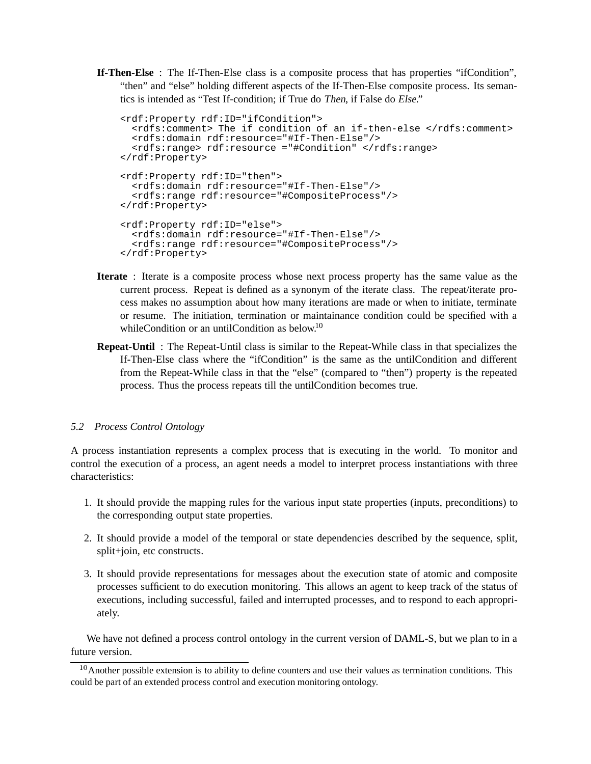**If-Then-Else** : The If-Then-Else class is a composite process that has properties "ifCondition", "then" and "else" holding different aspects of the If-Then-Else composite process. Its semantics is intended as "Test If-condition; if True do Then, if False do Else."

```
<rdf:Property rdf:ID="ifCondition">
  <rdfs:comment> The if condition of an if-then-else </rdfs:comment>
  <rdfs:domain rdf:resource="#If-Then-Else"/>
  <rdfs:range> rdf:resource ="#Condition" </rdfs:range>
</rdf:Property>
<rdf:Property rdf:ID="then">
  <rdfs:domain rdf:resource="#If-Then-Else"/>
  <rdfs:range rdf:resource="#CompositeProcess"/>
</rdf:Property>
<rdf:Property rdf:ID="else">
  <rdfs:domain rdf:resource="#If-Then-Else"/>
  <rdfs:range rdf:resource="#CompositeProcess"/>
</rdf:Property>
```
- **Iterate** : Iterate is a composite process whose next process property has the same value as the current process. Repeat is defined as a synonym of the iterate class. The repeat/iterate process makes no assumption about how many iterations are made or when to initiate, terminate or resume. The initiation, termination or maintainance condition could be specified with a whileCondition or an untilCondition as below.<sup>10</sup>
- **Repeat-Until** : The Repeat-Until class is similar to the Repeat-While class in that specializes the If-Then-Else class where the "ifCondition" is the same as the untilCondition and different from the Repeat-While class in that the "else" (compared to "then") property is the repeated process. Thus the process repeats till the untilCondition becomes true.

# *5.2 Process Control Ontology*

A process instantiation represents a complex process that is executing in the world. To monitor and control the execution of a process, an agent needs a model to interpret process instantiations with three characteristics:

- 1. It should provide the mapping rules for the various input state properties (inputs, preconditions) to the corresponding output state properties.
- 2. It should provide a model of the temporal or state dependencies described by the sequence, split, split+join, etc constructs.
- 3. It should provide representations for messages about the execution state of atomic and composite processes sufficient to do execution monitoring. This allows an agent to keep track of the status of executions, including successful, failed and interrupted processes, and to respond to each appropriately.

We have not defined a process control ontology in the current version of DAML-S, but we plan to in a future version.

 $10$  Another possible extension is to ability to define counters and use their values as termination conditions. This could be part of an extended process control and execution monitoring ontology.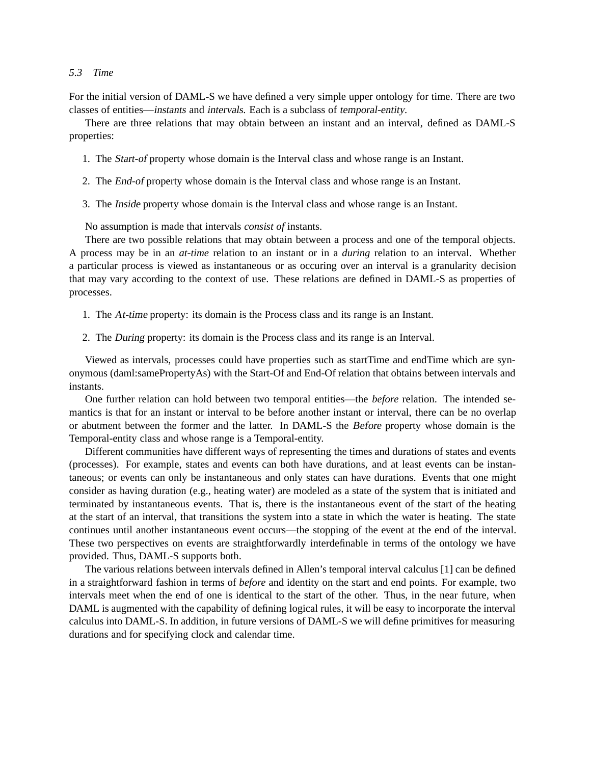#### *5.3 Time*

For the initial version of DAML-S we have defined a very simple upper ontology for time. There are two classes of entities—instants and intervals. Each is a subclass of temporal-entity.

There are three relations that may obtain between an instant and an interval, defined as DAML-S properties:

- 1. The Start-of property whose domain is the Interval class and whose range is an Instant.
- 2. The End-of property whose domain is the Interval class and whose range is an Instant.
- 3. The Inside property whose domain is the Interval class and whose range is an Instant.

No assumption is made that intervals *consist of* instants.

There are two possible relations that may obtain between a process and one of the temporal objects. A process may be in an *at-time* relation to an instant or in a *during* relation to an interval. Whether a particular process is viewed as instantaneous or as occuring over an interval is a granularity decision that may vary according to the context of use. These relations are defined in DAML-S as properties of processes.

- 1. The At-time property: its domain is the Process class and its range is an Instant.
- 2. The During property: its domain is the Process class and its range is an Interval.

Viewed as intervals, processes could have properties such as startTime and endTime which are synonymous (daml:samePropertyAs) with the Start-Of and End-Of relation that obtains between intervals and instants.

One further relation can hold between two temporal entities—the *before* relation. The intended semantics is that for an instant or interval to be before another instant or interval, there can be no overlap or abutment between the former and the latter. In DAML-S the Before property whose domain is the Temporal-entity class and whose range is a Temporal-entity.

Different communities have different ways of representing the times and durations of states and events (processes). For example, states and events can both have durations, and at least events can be instantaneous; or events can only be instantaneous and only states can have durations. Events that one might consider as having duration (e.g., heating water) are modeled as a state of the system that is initiated and terminated by instantaneous events. That is, there is the instantaneous event of the start of the heating at the start of an interval, that transitions the system into a state in which the water is heating. The state continues until another instantaneous event occurs—the stopping of the event at the end of the interval. These two perspectives on events are straightforwardly interdefinable in terms of the ontology we have provided. Thus, DAML-S supports both.

The various relations between intervals defined in Allen's temporal interval calculus [1] can be defined in a straightforward fashion in terms of *before* and identity on the start and end points. For example, two intervals meet when the end of one is identical to the start of the other. Thus, in the near future, when DAML is augmented with the capability of defining logical rules, it will be easy to incorporate the interval calculus into DAML-S. In addition, in future versions of DAML-S we will define primitives for measuring durations and for specifying clock and calendar time.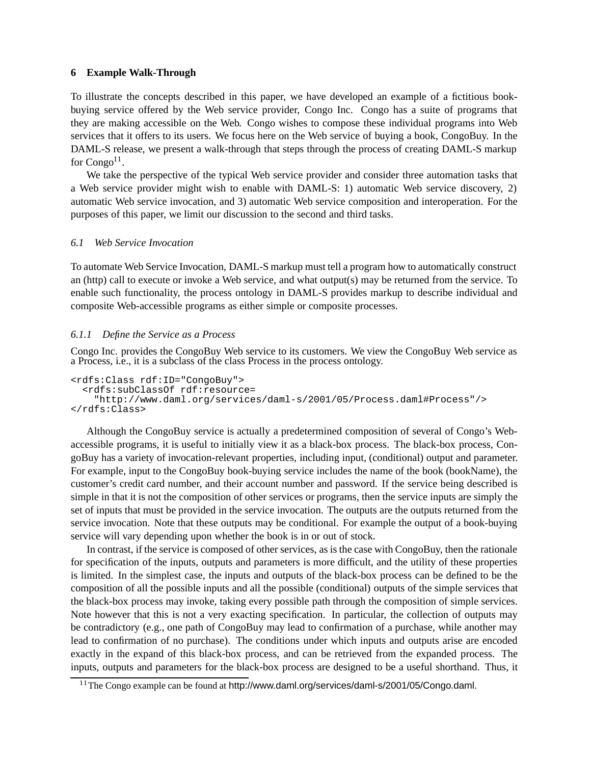## **6 Example Walk-Through**

To illustrate the concepts described in this paper, we have developed an example of a fictitious bookbuying service offered by the Web service provider, Congo Inc. Congo has a suite of programs that they are making accessible on the Web. Congo wishes to compose these individual programs into Web services that it offers to its users. We focus here on the Web service of buying a book, CongoBuy. In the DAML-S release, we present a walk-through that steps through the process of creating DAML-S markup for  $Cong^{11}$ .

We take the perspective of the typical Web service provider and consider three automation tasks that a Web service provider might wish to enable with DAML-S: 1) automatic Web service discovery, 2) automatic Web service invocation, and 3) automatic Web service composition and interoperation. For the purposes of this paper, we limit our discussion to the second and third tasks.

#### *6.1 Web Service Invocation*

To automate Web Service Invocation, DAML-S markup must tell a program how to automatically construct an (http) call to execute or invoke a Web service, and what output(s) may be returned from the service. To enable such functionality, the process ontology in DAML-S provides markup to describe individual and composite Web-accessible programs as either simple or composite processes.

#### *6.1.1 Define the Service as a Process*

Congo Inc. provides the CongoBuy Web service to its customers. We view the CongoBuy Web service as a Process, i.e., it is a subclass of the class Process in the process ontology.

```
<rdfs:Class rdf:ID="CongoBuy">
  <rdfs:subClassOf rdf:resource=
    "http://www.daml.org/services/daml-s/2001/05/Process.daml#Process"/>
</rdfs:Class>
```
Although the CongoBuy service is actually a predetermined composition of several of Congo's Webaccessible programs, it is useful to initially view it as a black-box process. The black-box process, CongoBuy has a variety of invocation-relevant properties, including input, (conditional) output and parameter. For example, input to the CongoBuy book-buying service includes the name of the book (bookName), the customer's credit card number, and their account number and password. If the service being described is simple in that it is not the composition of other services or programs, then the service inputs are simply the set of inputs that must be provided in the service invocation. The outputs are the outputs returned from the service invocation. Note that these outputs may be conditional. For example the output of a book-buying service will vary depending upon whether the book is in or out of stock.

In contrast, if the service is composed of other services, as is the case with CongoBuy, then the rationale for specification of the inputs, outputs and parameters is more difficult, and the utility of these properties is limited. In the simplest case, the inputs and outputs of the black-box process can be defined to be the composition of all the possible inputs and all the possible (conditional) outputs of the simple services that the black-box process may invoke, taking every possible path through the composition of simple services. Note however that this is not a very exacting specification. In particular, the collection of outputs may be contradictory (e.g., one path of CongoBuy may lead to confirmation of a purchase, while another may lead to confirmation of no purchase). The conditions under which inputs and outputs arise are encoded exactly in the expand of this black-box process, and can be retrieved from the expanded process. The inputs, outputs and parameters for the black-box process are designed to be a useful shorthand. Thus, it

 $11$  The Congo example can be found at http://www.daml.org/services/daml-s/2001/05/Congo.daml.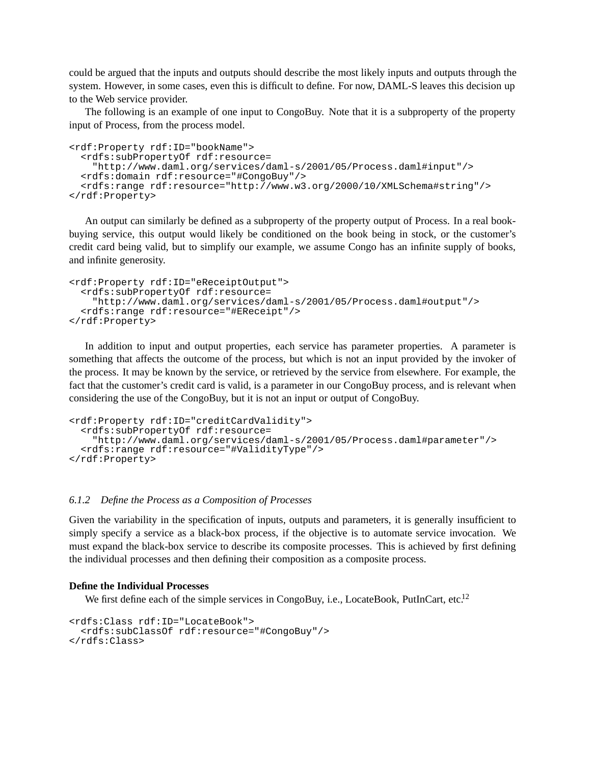could be argued that the inputs and outputs should describe the most likely inputs and outputs through the system. However, in some cases, even this is difficult to define. For now, DAML-S leaves this decision up to the Web service provider.

The following is an example of one input to CongoBuy. Note that it is a subproperty of the property input of Process, from the process model.

```
<rdf:Property rdf:ID="bookName">
  <rdfs:subPropertyOf rdf:resource=
    "http://www.daml.org/services/daml-s/2001/05/Process.daml#input"/>
  <rdfs:domain rdf:resource="#CongoBuy"/>
  <rdfs:range rdf:resource="http://www.w3.org/2000/10/XMLSchema#string"/>
</rdf:Property>
```
An output can similarly be defined as a subproperty of the property output of Process. In a real bookbuying service, this output would likely be conditioned on the book being in stock, or the customer's credit card being valid, but to simplify our example, we assume Congo has an infinite supply of books, and infinite generosity.

```
<rdf:Property rdf:ID="eReceiptOutput">
  <rdfs:subPropertyOf rdf:resource=
    "http://www.daml.org/services/daml-s/2001/05/Process.daml#output"/>
  <rdfs:range rdf:resource="#EReceipt"/>
</rdf:Property>
```
In addition to input and output properties, each service has parameter properties. A parameter is something that affects the outcome of the process, but which is not an input provided by the invoker of the process. It may be known by the service, or retrieved by the service from elsewhere. For example, the fact that the customer's credit card is valid, is a parameter in our CongoBuy process, and is relevant when considering the use of the CongoBuy, but it is not an input or output of CongoBuy.

```
<rdf:Property rdf:ID="creditCardValidity">
  <rdfs:subPropertyOf rdf:resource=
    "http://www.daml.org/services/daml-s/2001/05/Process.daml#parameter"/>
  <rdfs:range rdf:resource="#ValidityType"/>
</rdf:Property>
```
## *6.1.2 Define the Process as a Composition of Processes*

Given the variability in the specification of inputs, outputs and parameters, it is generally insufficient to simply specify a service as a black-box process, if the objective is to automate service invocation. We must expand the black-box service to describe its composite processes. This is achieved by first defining the individual processes and then defining their composition as a composite process.

## **Define the Individual Processes**

We first define each of the simple services in CongoBuy, i.e., LocateBook, PutInCart, etc.<sup>12</sup>

```
<rdfs:Class rdf:ID="LocateBook">
 <rdfs:subClassOf rdf:resource="#CongoBuy"/>
</rdfs:Class>
```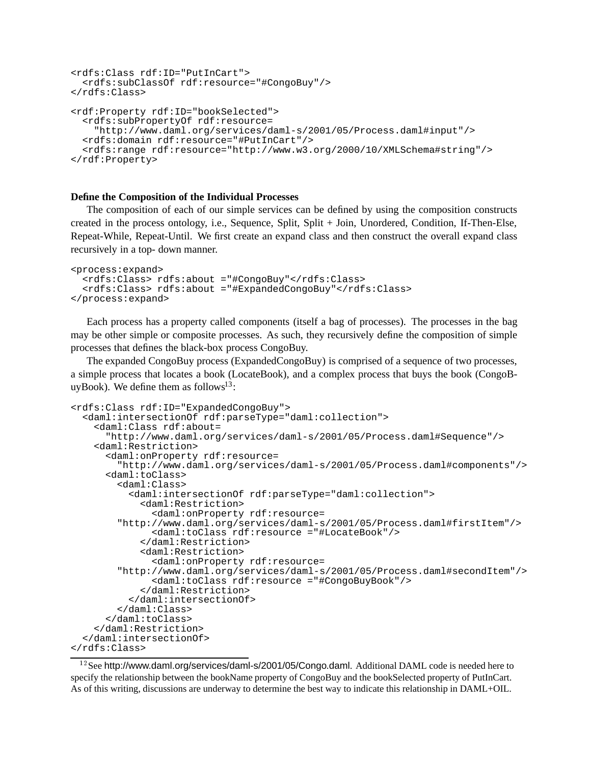```
<rdfs:Class rdf:ID="PutInCart">
  <rdfs:subClassOf rdf:resource="#CongoBuy"/>
</rdfs:Class>
<rdf:Property rdf:ID="bookSelected">
  <rdfs:subPropertyOf rdf:resource=
    "http://www.daml.org/services/daml-s/2001/05/Process.daml#input"/>
  <rdfs:domain rdf:resource="#PutInCart"/>
  <rdfs:range rdf:resource="http://www.w3.org/2000/10/XMLSchema#string"/>
</rdf:Property>
```
#### **Define the Composition of the Individual Processes**

The composition of each of our simple services can be defined by using the composition constructs created in the process ontology, i.e., Sequence, Split, Split + Join, Unordered, Condition, If-Then-Else, Repeat-While, Repeat-Until. We first create an expand class and then construct the overall expand class recursively in a top- down manner.

```
<process:expand>
  <rdfs:Class> rdfs:about ="#CongoBuy"</rdfs:Class>
  <rdfs:Class> rdfs:about ="#ExpandedCongoBuy"</rdfs:Class>
</process:expand>
```
Each process has a property called components (itself a bag of processes). The processes in the bag may be other simple or composite processes. As such, they recursively define the composition of simple processes that defines the black-box process CongoBuy.

The expanded CongoBuy process (ExpandedCongoBuy) is comprised of a sequence of two processes, a simple process that locates a book (LocateBook), and a complex process that buys the book (CongoBuyBook). We define them as follows<sup>13</sup>:

```
<rdfs:Class rdf:ID="ExpandedCongoBuy">
  <daml:intersectionOf rdf:parseType="daml:collection">
    <daml:Class rdf:about=
      "http://www.daml.org/services/daml-s/2001/05/Process.daml#Sequence"/>
    <daml:Restriction>
      <daml:onProperty rdf:resource=
        "http://www.daml.org/services/daml-s/2001/05/Process.daml#components"/>
      <daml:toClass>
        <daml:Class>
          <daml:intersectionOf rdf:parseType="daml:collection">
            <daml:Restriction>
              <daml:onProperty rdf:resource=
        "http://www.daml.org/services/daml-s/2001/05/Process.daml#firstItem"/>
              <daml:toClass rdf:resource ="#LocateBook"/>
            </daml:Restriction>
            <daml:Restriction>
              <daml:onProperty rdf:resource=
        "http://www.daml.org/services/daml-s/2001/05/Process.daml#secondItem"/>
              <daml:toClass rdf:resource ="#CongoBuyBook"/>
            </daml:Restriction>
          </daml:intersectionOf>
        </daml:Class>
      </daml:toClass>
    </daml:Restriction>
  </daml:intersectionOf>
</rdfs:Class>
```
 $12$ See http://www.daml.org/services/daml-s/2001/05/Congo.daml. Additional DAML code is needed here to specify the relationship between the bookName property of CongoBuy and the bookSelected property of PutInCart. As of this writing, discussions are underway to determine the best way to indicate this relationship in DAML+OIL.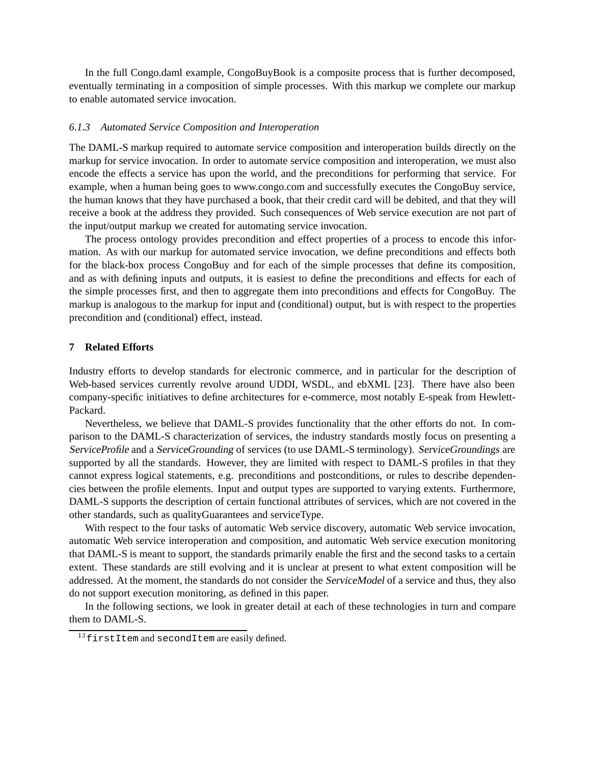In the full Congo.daml example, CongoBuyBook is a composite process that is further decomposed, eventually terminating in a composition of simple processes. With this markup we complete our markup to enable automated service invocation.

#### *6.1.3 Automated Service Composition and Interoperation*

The DAML-S markup required to automate service composition and interoperation builds directly on the markup for service invocation. In order to automate service composition and interoperation, we must also encode the effects a service has upon the world, and the preconditions for performing that service. For example, when a human being goes to www.congo.com and successfully executes the CongoBuy service, the human knows that they have purchased a book, that their credit card will be debited, and that they will receive a book at the address they provided. Such consequences of Web service execution are not part of the input/output markup we created for automating service invocation.

The process ontology provides precondition and effect properties of a process to encode this information. As with our markup for automated service invocation, we define preconditions and effects both for the black-box process CongoBuy and for each of the simple processes that define its composition, and as with defining inputs and outputs, it is easiest to define the preconditions and effects for each of the simple processes first, and then to aggregate them into preconditions and effects for CongoBuy. The markup is analogous to the markup for input and (conditional) output, but is with respect to the properties precondition and (conditional) effect, instead.

#### **7 Related Efforts**

Industry efforts to develop standards for electronic commerce, and in particular for the description of Web-based services currently revolve around UDDI, WSDL, and ebXML [23]. There have also been company-specific initiatives to define architectures for e-commerce, most notably E-speak from Hewlett-Packard.

Nevertheless, we believe that DAML-S provides functionality that the other efforts do not. In comparison to the DAML-S characterization of services, the industry standards mostly focus on presenting a ServiceProfile and a ServiceGrounding of services (to use DAML-S terminology). ServiceGroundings are supported by all the standards. However, they are limited with respect to DAML-S profiles in that they cannot express logical statements, e.g. preconditions and postconditions, or rules to describe dependencies between the profile elements. Input and output types are supported to varying extents. Furthermore, DAML-S supports the description of certain functional attributes of services, which are not covered in the other standards, such as qualityGuarantees and serviceType.

With respect to the four tasks of automatic Web service discovery, automatic Web service invocation, automatic Web service interoperation and composition, and automatic Web service execution monitoring that DAML-S is meant to support, the standards primarily enable the first and the second tasks to a certain extent. These standards are still evolving and it is unclear at present to what extent composition will be addressed. At the moment, the standards do not consider the ServiceModel of a service and thus, they also do not support execution monitoring, as defined in this paper.

In the following sections, we look in greater detail at each of these technologies in turn and compare them to DAML-S.

 $^{13}$ firstItem and secondItem are easily defined.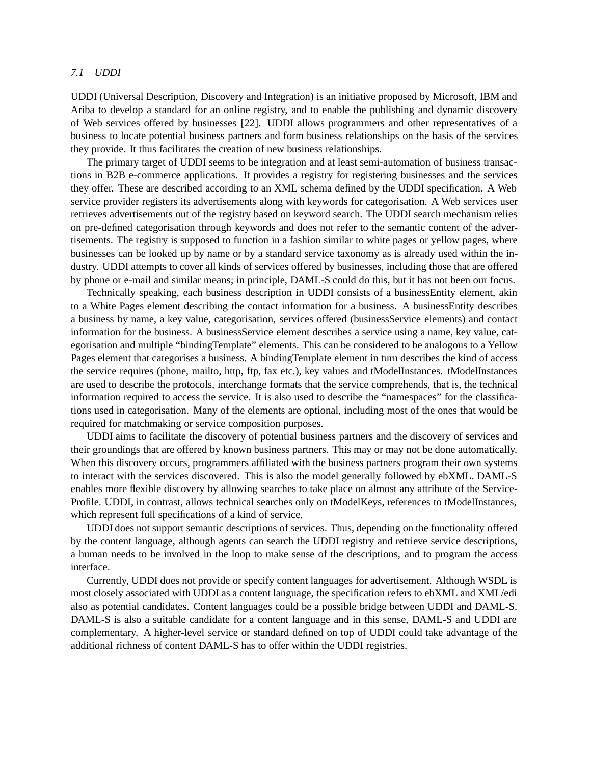#### *7.1 UDDI*

UDDI (Universal Description, Discovery and Integration) is an initiative proposed by Microsoft, IBM and Ariba to develop a standard for an online registry, and to enable the publishing and dynamic discovery of Web services offered by businesses [22]. UDDI allows programmers and other representatives of a business to locate potential business partners and form business relationships on the basis of the services they provide. It thus facilitates the creation of new business relationships.

The primary target of UDDI seems to be integration and at least semi-automation of business transactions in B2B e-commerce applications. It provides a registry for registering businesses and the services they offer. These are described according to an XML schema defined by the UDDI specification. A Web service provider registers its advertisements along with keywords for categorisation. A Web services user retrieves advertisements out of the registry based on keyword search. The UDDI search mechanism relies on pre-defined categorisation through keywords and does not refer to the semantic content of the advertisements. The registry is supposed to function in a fashion similar to white pages or yellow pages, where businesses can be looked up by name or by a standard service taxonomy as is already used within the industry. UDDI attempts to cover all kinds of services offered by businesses, including those that are offered by phone or e-mail and similar means; in principle, DAML-S could do this, but it has not been our focus.

Technically speaking, each business description in UDDI consists of a businessEntity element, akin to a White Pages element describing the contact information for a business. A businessEntity describes a business by name, a key value, categorisation, services offered (businessService elements) and contact information for the business. A businessService element describes a service using a name, key value, categorisation and multiple "bindingTemplate" elements. This can be considered to be analogous to a Yellow Pages element that categorises a business. A bindingTemplate element in turn describes the kind of access the service requires (phone, mailto, http, ftp, fax etc.), key values and tModelInstances. tModelInstances are used to describe the protocols, interchange formats that the service comprehends, that is, the technical information required to access the service. It is also used to describe the "namespaces" for the classifications used in categorisation. Many of the elements are optional, including most of the ones that would be required for matchmaking or service composition purposes.

UDDI aims to facilitate the discovery of potential business partners and the discovery of services and their groundings that are offered by known business partners. This may or may not be done automatically. When this discovery occurs, programmers affiliated with the business partners program their own systems to interact with the services discovered. This is also the model generally followed by ebXML. DAML-S enables more flexible discovery by allowing searches to take place on almost any attribute of the Service-Profile. UDDI, in contrast, allows technical searches only on tModelKeys, references to tModelInstances, which represent full specifications of a kind of service.

UDDI does not support semantic descriptions of services. Thus, depending on the functionality offered by the content language, although agents can search the UDDI registry and retrieve service descriptions, a human needs to be involved in the loop to make sense of the descriptions, and to program the access interface.

Currently, UDDI does not provide or specify content languages for advertisement. Although WSDL is most closely associated with UDDI as a content language, the specification refers to ebXML and XML/edi also as potential candidates. Content languages could be a possible bridge between UDDI and DAML-S. DAML-S is also a suitable candidate for a content language and in this sense, DAML-S and UDDI are complementary. A higher-level service or standard defined on top of UDDI could take advantage of the additional richness of content DAML-S has to offer within the UDDI registries.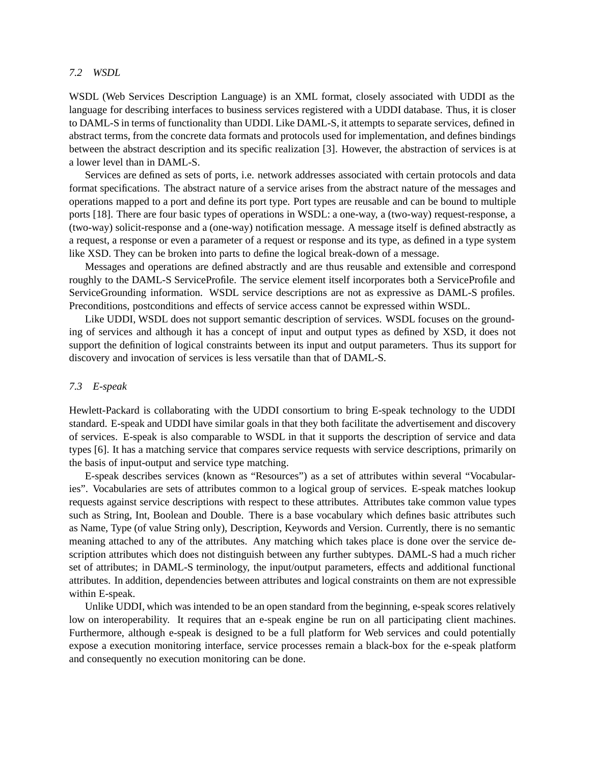#### *7.2 WSDL*

WSDL (Web Services Description Language) is an XML format, closely associated with UDDI as the language for describing interfaces to business services registered with a UDDI database. Thus, it is closer to DAML-S in terms of functionality than UDDI. Like DAML-S, it attempts to separate services, defined in abstract terms, from the concrete data formats and protocols used for implementation, and defines bindings between the abstract description and its specific realization [3]. However, the abstraction of services is at a lower level than in DAML-S.

Services are defined as sets of ports, i.e. network addresses associated with certain protocols and data format specifications. The abstract nature of a service arises from the abstract nature of the messages and operations mapped to a port and define its port type. Port types are reusable and can be bound to multiple ports [18]. There are four basic types of operations in WSDL: a one-way, a (two-way) request-response, a (two-way) solicit-response and a (one-way) notification message. A message itself is defined abstractly as a request, a response or even a parameter of a request or response and its type, as defined in a type system like XSD. They can be broken into parts to define the logical break-down of a message.

Messages and operations are defined abstractly and are thus reusable and extensible and correspond roughly to the DAML-S ServiceProfile. The service element itself incorporates both a ServiceProfile and ServiceGrounding information. WSDL service descriptions are not as expressive as DAML-S profiles. Preconditions, postconditions and effects of service access cannot be expressed within WSDL.

Like UDDI, WSDL does not support semantic description of services. WSDL focuses on the grounding of services and although it has a concept of input and output types as defined by XSD, it does not support the definition of logical constraints between its input and output parameters. Thus its support for discovery and invocation of services is less versatile than that of DAML-S.

#### *7.3 E-speak*

Hewlett-Packard is collaborating with the UDDI consortium to bring E-speak technology to the UDDI standard. E-speak and UDDI have similar goals in that they both facilitate the advertisement and discovery of services. E-speak is also comparable to WSDL in that it supports the description of service and data types [6]. It has a matching service that compares service requests with service descriptions, primarily on the basis of input-output and service type matching.

E-speak describes services (known as "Resources") as a set of attributes within several "Vocabularies". Vocabularies are sets of attributes common to a logical group of services. E-speak matches lookup requests against service descriptions with respect to these attributes. Attributes take common value types such as String, Int, Boolean and Double. There is a base vocabulary which defines basic attributes such as Name, Type (of value String only), Description, Keywords and Version. Currently, there is no semantic meaning attached to any of the attributes. Any matching which takes place is done over the service description attributes which does not distinguish between any further subtypes. DAML-S had a much richer set of attributes; in DAML-S terminology, the input/output parameters, effects and additional functional attributes. In addition, dependencies between attributes and logical constraints on them are not expressible within E-speak.

Unlike UDDI, which was intended to be an open standard from the beginning, e-speak scores relatively low on interoperability. It requires that an e-speak engine be run on all participating client machines. Furthermore, although e-speak is designed to be a full platform for Web services and could potentially expose a execution monitoring interface, service processes remain a black-box for the e-speak platform and consequently no execution monitoring can be done.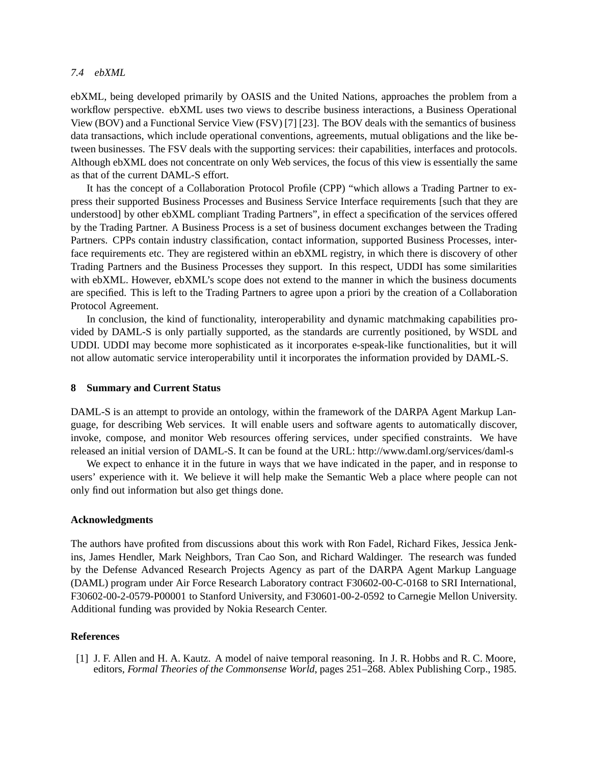#### *7.4 ebXML*

ebXML, being developed primarily by OASIS and the United Nations, approaches the problem from a workflow perspective. ebXML uses two views to describe business interactions, a Business Operational View (BOV) and a Functional Service View (FSV) [7] [23]. The BOV deals with the semantics of business data transactions, which include operational conventions, agreements, mutual obligations and the like between businesses. The FSV deals with the supporting services: their capabilities, interfaces and protocols. Although ebXML does not concentrate on only Web services, the focus of this view is essentially the same as that of the current DAML-S effort.

It has the concept of a Collaboration Protocol Profile (CPP) "which allows a Trading Partner to express their supported Business Processes and Business Service Interface requirements [such that they are understood] by other ebXML compliant Trading Partners", in effect a specification of the services offered by the Trading Partner. A Business Process is a set of business document exchanges between the Trading Partners. CPPs contain industry classification, contact information, supported Business Processes, interface requirements etc. They are registered within an ebXML registry, in which there is discovery of other Trading Partners and the Business Processes they support. In this respect, UDDI has some similarities with ebXML. However, ebXML's scope does not extend to the manner in which the business documents are specified. This is left to the Trading Partners to agree upon a priori by the creation of a Collaboration Protocol Agreement.

In conclusion, the kind of functionality, interoperability and dynamic matchmaking capabilities provided by DAML-S is only partially supported, as the standards are currently positioned, by WSDL and UDDI. UDDI may become more sophisticated as it incorporates e-speak-like functionalities, but it will not allow automatic service interoperability until it incorporates the information provided by DAML-S.

#### **8 Summary and Current Status**

DAML-S is an attempt to provide an ontology, within the framework of the DARPA Agent Markup Language, for describing Web services. It will enable users and software agents to automatically discover, invoke, compose, and monitor Web resources offering services, under specified constraints. We have released an initial version of DAML-S. It can be found at the URL: http://www.daml.org/services/daml-s

We expect to enhance it in the future in ways that we have indicated in the paper, and in response to users' experience with it. We believe it will help make the Semantic Web a place where people can not only find out information but also get things done.

#### **Acknowledgments**

The authors have profited from discussions about this work with Ron Fadel, Richard Fikes, Jessica Jenkins, James Hendler, Mark Neighbors, Tran Cao Son, and Richard Waldinger. The research was funded by the Defense Advanced Research Projects Agency as part of the DARPA Agent Markup Language (DAML) program under Air Force Research Laboratory contract F30602-00-C-0168 to SRI International, F30602-00-2-0579-P00001 to Stanford University, and F30601-00-2-0592 to Carnegie Mellon University. Additional funding was provided by Nokia Research Center.

## **References**

[1] J. F. Allen and H. A. Kautz. A model of naive temporal reasoning. In J. R. Hobbs and R. C. Moore, editors, *Formal Theories of the Commonsense World*, pages 251–268. Ablex Publishing Corp., 1985.